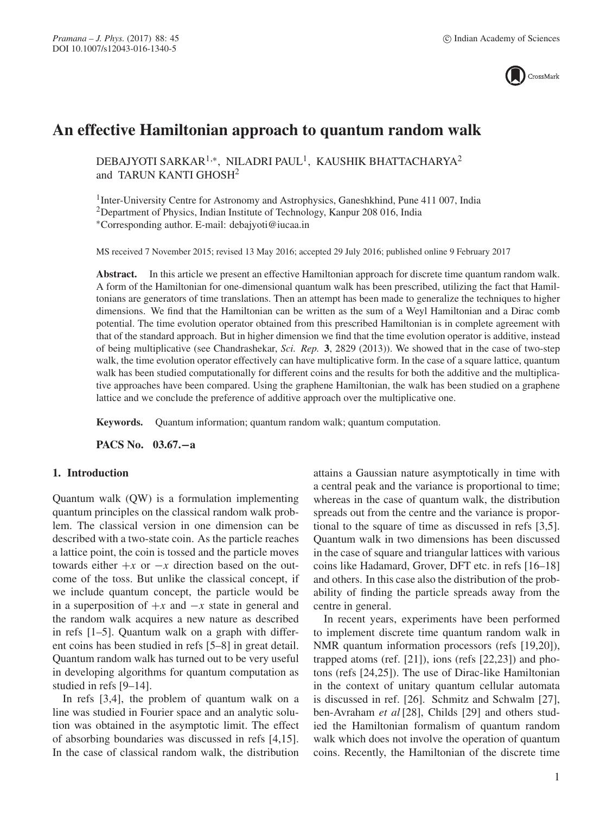

# **An effective Hamiltonian approach to quantum random walk**

DEBAJYOTI SARKAR<sup>1,∗</sup>, NILADRI PAUL<sup>1</sup>, KAUSHIK BHATTACHARYA<sup>2</sup> and TARUN KANTI GHOSH<sup>2</sup>

<sup>1</sup>Inter-University Centre for Astronomy and Astrophysics, Ganeshkhind, Pune 411 007, India 2Department of Physics, Indian Institute of Technology, Kanpur 208 016, India ∗Corresponding author. E-mail: debajyoti@iucaa.in

MS received 7 November 2015; revised 13 May 2016; accepted 29 July 2016; published online 9 February 2017

**Abstract.** In this article we present an effective Hamiltonian approach for discrete time quantum random walk. A form of the Hamiltonian for one-dimensional quantum walk has been prescribed, utilizing the fact that Hamiltonians are generators of time translations. Then an attempt has been made to generalize the techniques to higher dimensions. We find that the Hamiltonian can be written as the sum of a Weyl Hamiltonian and a Dirac comb potential. The time evolution operator obtained from this prescribed Hamiltonian is in complete agreement with that of the standard approach. But in higher dimension we find that the time evolution operator is additive, instead of being multiplicative (see Chandrashekar, *Sci. Rep.* **3**, 2829 (2013)). We showed that in the case of two-step walk, the time evolution operator effectively can have multiplicative form. In the case of a square lattice, quantum walk has been studied computationally for different coins and the results for both the additive and the multiplicative approaches have been compared. Using the graphene Hamiltonian, the walk has been studied on a graphene lattice and we conclude the preference of additive approach over the multiplicative one.

**Keywords.** Quantum information; quantum random walk; quantum computation.

**PACS No. 03.67.−a**

## **1. Introduction**

Quantum walk (QW) is a formulation implementing quantum principles on the classical random walk problem. The classical version in one dimension can be described with a two-state coin. As the particle reaches a lattice point, the coin is tossed and the particle moves towards either  $+x$  or  $-x$  direction based on the outcome of the toss. But unlike the classical concept, if we include quantum concept, the particle would be in a superposition of  $+x$  and  $-x$  state in general and the random walk acquires a new nature as described in refs [1–5]. Quantum walk on a graph with different coins has been studied in refs [5–8] in great detail. Quantum random walk has turned out to be very useful in developing algorithms for quantum computation as studied in refs [9–14].

In refs [3,4], the problem of quantum walk on a line was studied in Fourier space and an analytic solution was obtained in the asymptotic limit. The effect of absorbing boundaries was discussed in refs [4,15]. In the case of classical random walk, the distribution attains a Gaussian nature asymptotically in time with a central peak and the variance is proportional to time; whereas in the case of quantum walk, the distribution spreads out from the centre and the variance is proportional to the square of time as discussed in refs [3,5]. Quantum walk in two dimensions has been discussed in the case of square and triangular lattices with various coins like Hadamard, Grover, DFT etc. in refs [16–18] and others. In this case also the distribution of the probability of finding the particle spreads away from the centre in general.

In recent years, experiments have been performed to implement discrete time quantum random walk in NMR quantum information processors (refs [19,20]), trapped atoms (ref. [21]), ions (refs [22,23]) and photons (refs [24,25]). The use of Dirac-like Hamiltonian in the context of unitary quantum cellular automata is discussed in ref. [26]. Schmitz and Schwalm [27], ben-Avraham *et al* [28], Childs [29] and others studied the Hamiltonian formalism of quantum random walk which does not involve the operation of quantum coins. Recently, the Hamiltonian of the discrete time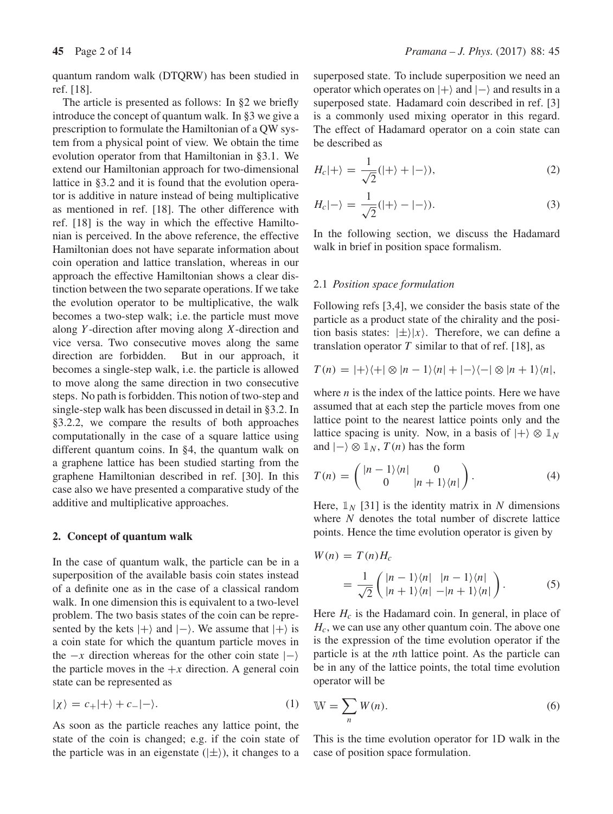quantum random walk (DTQRW) has been studied in ref. [18].

The article is presented as follows: In §2 we briefly introduce the concept of quantum walk. In §3 we give a prescription to formulate the Hamiltonian of a QW system from a physical point of view. We obtain the time evolution operator from that Hamiltonian in §3.1. We extend our Hamiltonian approach for two-dimensional lattice in §3.2 and it is found that the evolution operator is additive in nature instead of being multiplicative as mentioned in ref. [18]. The other difference with ref. [18] is the way in which the effective Hamiltonian is perceived. In the above reference, the effective Hamiltonian does not have separate information about coin operation and lattice translation, whereas in our approach the effective Hamiltonian shows a clear distinction between the two separate operations. If we take the evolution operator to be multiplicative, the walk becomes a two-step walk; i.e. the particle must move along Y -direction after moving along X-direction and vice versa. Two consecutive moves along the same direction are forbidden. But in our approach, it becomes a single-step walk, i.e. the particle is allowed to move along the same direction in two consecutive steps. No path is forbidden. This notion of two-step and single-step walk has been discussed in detail in §3.2. In §3.2.2, we compare the results of both approaches computationally in the case of a square lattice using different quantum coins. In §4, the quantum walk on a graphene lattice has been studied starting from the graphene Hamiltonian described in ref. [30]. In this case also we have presented a comparative study of the additive and multiplicative approaches.

#### **2. Concept of quantum walk**

In the case of quantum walk, the particle can be in a superposition of the available basis coin states instead of a definite one as in the case of a classical random walk. In one dimension this is equivalent to a two-level problem. The two basis states of the coin can be represented by the kets  $|+\rangle$  and  $|-\rangle$ . We assume that  $|+\rangle$  is a coin state for which the quantum particle moves in the  $-x$  direction whereas for the other coin state  $|- \rangle$ the particle moves in the  $+x$  direction. A general coin state can be represented as

$$
|\chi\rangle = c_{+}|+\rangle + c_{-}|-\rangle. \tag{1}
$$

As soon as the particle reaches any lattice point, the state of the coin is changed; e.g. if the coin state of the particle was in an eigenstate  $(|\pm\rangle)$ , it changes to a superposed state. To include superposition we need an operator which operates on  $|+\rangle$  and  $|-\rangle$  and results in a superposed state. Hadamard coin described in ref. [3] is a commonly used mixing operator in this regard. The effect of Hadamard operator on a coin state can be described as

$$
H_c|+\rangle = \frac{1}{\sqrt{2}}(|+\rangle + |-\rangle),\tag{2}
$$

$$
H_c|\text{--}\rangle = \frac{1}{\sqrt{2}}(|\text{+}\rangle - |\text{--}\rangle). \tag{3}
$$

In the following section, we discuss the Hadamard walk in brief in position space formalism.

#### 2.1 *Position space formulation*

Following refs [3,4], we consider the basis state of the particle as a product state of the chirality and the position basis states:  $|\pm\rangle |x\rangle$ . Therefore, we can define a translation operator  $T$  similar to that of ref. [18], as

$$
T(n) = |+\rangle\langle+| \otimes |n-1\rangle\langle n| + |-\rangle\langle-| \otimes |n+1\rangle\langle n|,
$$

where  $n$  is the index of the lattice points. Here we have assumed that at each step the particle moves from one lattice point to the nearest lattice points only and the lattice spacing is unity. Now, in a basis of  $|+\rangle \otimes \mathbb{1}_N$ and  $|-\rangle \otimes \mathbb{1}_N$ ,  $T(n)$  has the form

$$
T(n) = \begin{pmatrix} |n-1\rangle\langle n| & 0\\ 0 & |n+1\rangle\langle n| \end{pmatrix}.
$$
 (4)

Here,  $\mathbb{1}_N$  [31] is the identity matrix in N dimensions where N denotes the total number of discrete lattice points. Hence the time evolution operator is given by

$$
W(n) = T(n)H_c
$$
  
= 
$$
\frac{1}{\sqrt{2}} \begin{pmatrix} |n-1\rangle\langle n| & |n-1\rangle\langle n| \\ |n+1\rangle\langle n| & -|n+1\rangle\langle n| \end{pmatrix}.
$$
 (5)

Here  $H_c$  is the Hadamard coin. In general, in place of  $H<sub>c</sub>$ , we can use any other quantum coin. The above one is the expression of the time evolution operator if the particle is at the nth lattice point. As the particle can be in any of the lattice points, the total time evolution operator will be

$$
W = \sum_{n} W(n). \tag{6}
$$

This is the time evolution operator for 1D walk in the case of position space formulation.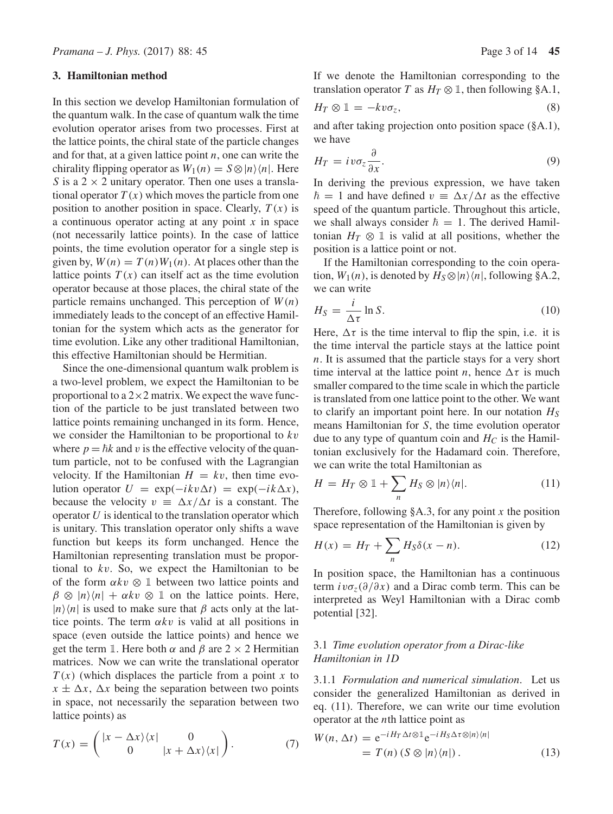## **3. Hamiltonian method**

In this section we develop Hamiltonian formulation of the quantum walk. In the case of quantum walk the time evolution operator arises from two processes. First at the lattice points, the chiral state of the particle changes and for that, at a given lattice point  $n$ , one can write the chirality flipping operator as  $W_1(n) = S \otimes |n\rangle\langle n|$ . Here S is a  $2 \times 2$  unitary operator. Then one uses a translational operator  $T(x)$  which moves the particle from one position to another position in space. Clearly,  $T(x)$  is a continuous operator acting at any point  $x$  in space (not necessarily lattice points). In the case of lattice points, the time evolution operator for a single step is given by,  $W(n) = T(n)W_1(n)$ . At places other than the lattice points  $T(x)$  can itself act as the time evolution operator because at those places, the chiral state of the particle remains unchanged. This perception of  $W(n)$ immediately leads to the concept of an effective Hamiltonian for the system which acts as the generator for time evolution. Like any other traditional Hamiltonian, this effective Hamiltonian should be Hermitian.

Since the one-dimensional quantum walk problem is a two-level problem, we expect the Hamiltonian to be proportional to a  $2\times 2$  matrix. We expect the wave function of the particle to be just translated between two lattice points remaining unchanged in its form. Hence, we consider the Hamiltonian to be proportional to  $kv$ where  $p = \hbar k$  and v is the effective velocity of the quantum particle, not to be confused with the Lagrangian velocity. If the Hamiltonian  $H = kv$ , then time evolution operator  $U = \exp(-ikv\Delta t) = \exp(-ik\Delta x)$ , because the velocity  $v = \Delta x / \Delta t$  is a constant. The operator  $U$  is identical to the translation operator which is unitary. This translation operator only shifts a wave function but keeps its form unchanged. Hence the Hamiltonian representing translation must be proportional to kv. So, we expect the Hamiltonian to be of the form  $\alpha kv \otimes \mathbb{1}$  between two lattice points and  $\beta \otimes |n\rangle\langle n| + \alpha k v \otimes \mathbb{1}$  on the lattice points. Here,  $|n\rangle\langle n|$  is used to make sure that  $\beta$  acts only at the lattice points. The term  $\alpha k v$  is valid at all positions in space (even outside the lattice points) and hence we get the term 1. Here both  $\alpha$  and  $\beta$  are 2  $\times$  2 Hermitian matrices. Now we can write the translational operator  $T(x)$  (which displaces the particle from a point x to  $x \pm \Delta x$ ,  $\Delta x$  being the separation between two points in space, not necessarily the separation between two lattice points) as

If we denote the Hamiltonian corresponding to the translation operator T as  $H_T \otimes \mathbb{1}$ , then following §A.1,

$$
H_T \otimes \mathbb{1} = -kv\sigma_z,\tag{8}
$$

and after taking projection onto position space (§A.1), we have

$$
H_T = i\nu\sigma_z \frac{\partial}{\partial x}.
$$
\n(9)

In deriving the previous expression, we have taken  $\hbar = 1$  and have defined  $v = \Delta x / \Delta t$  as the effective speed of the quantum particle. Throughout this article, we shall always consider  $\hbar = 1$ . The derived Hamiltonian  $H_T \otimes \mathbb{1}$  is valid at all positions, whether the position is a lattice point or not.

If the Hamiltonian corresponding to the coin operation,  $W_1(n)$ , is denoted by  $H_S \otimes |n\rangle\langle n|$ , following §A.2, we can write

$$
H_S = \frac{i}{\Delta \tau} \ln S. \tag{10}
$$

Here,  $\Delta \tau$  is the time interval to flip the spin, i.e. it is the time interval the particle stays at the lattice point n. It is assumed that the particle stays for a very short time interval at the lattice point *n*, hence  $\Delta \tau$  is much smaller compared to the time scale in which the particle is translated from one lattice point to the other. We want to clarify an important point here. In our notation  $H<sub>S</sub>$ means Hamiltonian for S, the time evolution operator due to any type of quantum coin and  $H_C$  is the Hamiltonian exclusively for the Hadamard coin. Therefore, we can write the total Hamiltonian as

$$
H = H_T \otimes \mathbb{1} + \sum_n H_S \otimes |n\rangle\langle n|.
$$
 (11)

Therefore, following  $§A.3$ , for any point x the position space representation of the Hamiltonian is given by

$$
H(x) = H_T + \sum_n H_S \delta(x - n). \tag{12}
$$

In position space, the Hamiltonian has a continuous term  $iv\sigma_z(\partial/\partial x)$  and a Dirac comb term. This can be interpreted as Weyl Hamiltonian with a Dirac comb potential [32].

## 3.1 *Time e*v*olution operator from a Dirac-like Hamiltonian in 1D*

3.1.1 *Formulation and numerical simulation*. Let us consider the generalized Hamiltonian as derived in eq. (11). Therefore, we can write our time evolution operator at the nth lattice point as

$$
W(n, \Delta t) = e^{-iH_T \Delta t \otimes \mathbb{1}} e^{-iH_S \Delta \tau \otimes |n\rangle \langle n|}
$$
  
=  $T(n) (S \otimes |n\rangle \langle n|).$  (13)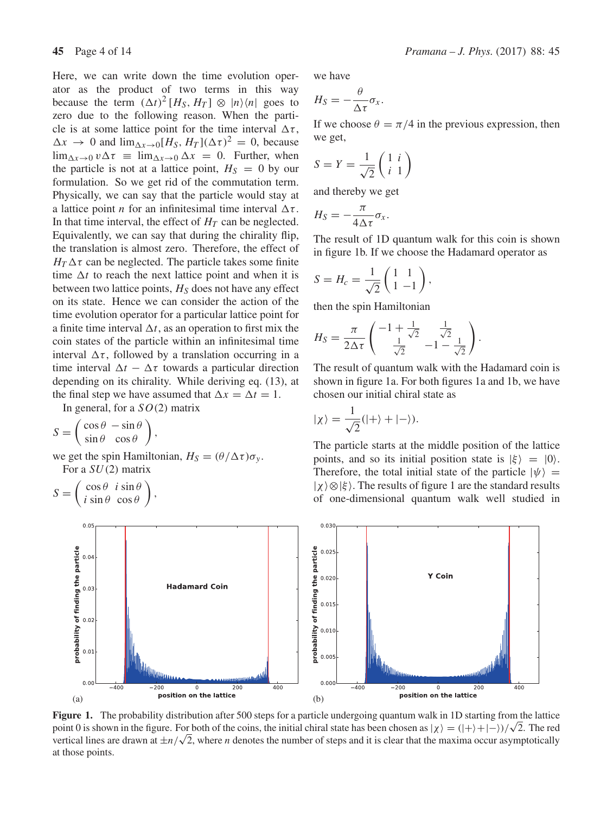Here, we can write down the time evolution operator as the product of two terms in this way because the term  $(\Delta t)^2 [H_S, H_T] \otimes |n\rangle\langle n|$  goes to zero due to the following reason. When the particle is at some lattice point for the time interval  $\Delta \tau$ ,  $\Delta x \rightarrow 0$  and  $\lim_{\Delta x \rightarrow 0} [H_S, H_T] (\Delta \tau)^2 = 0$ , because  $\lim_{\Delta x \to 0} v \Delta \tau = \lim_{\Delta x \to 0} \Delta x = 0$ . Further, when the particle is not at a lattice point,  $H<sub>S</sub> = 0$  by our formulation. So we get rid of the commutation term. Physically, we can say that the particle would stay at a lattice point *n* for an infinitesimal time interval  $\Delta \tau$ . In that time interval, the effect of  $H_T$  can be neglected. Equivalently, we can say that during the chirality flip, the translation is almost zero. Therefore, the effect of  $H_T \Delta \tau$  can be neglected. The particle takes some finite time  $\Delta t$  to reach the next lattice point and when it is between two lattice points,  $H<sub>S</sub>$  does not have any effect on its state. Hence we can consider the action of the time evolution operator for a particular lattice point for a finite time interval  $\Delta t$ , as an operation to first mix the coin states of the particle within an infinitesimal time interval  $\Delta \tau$ , followed by a translation occurring in a time interval  $\Delta t - \Delta \tau$  towards a particular direction depending on its chirality. While deriving eq. (13), at the final step we have assumed that  $\Delta x = \Delta t = 1$ .

In general, for a  $SO(2)$  matrix

$$
S = \begin{pmatrix} \cos \theta & -\sin \theta \\ \sin \theta & \cos \theta \end{pmatrix},
$$

we get the spin Hamiltonian,  $H_S = (\theta/\Delta \tau) \sigma_{v}$ . For a  $SU(2)$  matrix

$$
S = \begin{pmatrix} \cos \theta & i \sin \theta \\ i \sin \theta & \cos \theta \end{pmatrix},
$$

probability of finding the particle



we have

$$
H_S=-\frac{\theta}{\Delta \tau}\sigma_x.
$$

If we choose  $\theta = \pi/4$  in the previous expression, then we get,

$$
S = Y = \frac{1}{\sqrt{2}} \begin{pmatrix} 1 & i \\ i & 1 \end{pmatrix}
$$

and thereby we get

$$
H_S = -\frac{\pi}{4\Delta\tau}\sigma_x.
$$

The result of 1D quantum walk for this coin is shown in figure 1b. If we choose the Hadamard operator as

$$
S = H_c = \frac{1}{\sqrt{2}} \begin{pmatrix} 1 & 1 \\ 1 & -1 \end{pmatrix},
$$

then the spin Hamiltonian

$$
H_S = \frac{\pi}{2\Delta\tau} \begin{pmatrix} -1 + \frac{1}{\sqrt{2}} & \frac{1}{\sqrt{2}} \\ \frac{1}{\sqrt{2}} & -1 - \frac{1}{\sqrt{2}} \end{pmatrix}.
$$

The result of quantum walk with the Hadamard coin is shown in figure 1a. For both figures 1a and 1b, we have chosen our initial chiral state as

$$
|\chi\rangle=\frac{1}{\sqrt{2}}(|+\rangle+|-\rangle).
$$

The particle starts at the middle position of the lattice points, and so its initial position state is  $|\xi\rangle = |0\rangle$ . Therefore, the total initial state of the particle  $|\psi\rangle$  =  $|\chi\rangle \otimes |\xi\rangle$ . The results of figure 1 are the standard results of one-dimensional quantum walk well studied in



**Figure 1.** The probability distribution after 500 steps for a particle undergoing quantum walk in 1D starting from the lattice point 0 is shown in the figure. For both of the coins, the initial chiral state has been chosen as  $|\chi\rangle = (|\rangle + |-\rangle)/\sqrt{2}$ . The red vertical lines are drawn at  $\pm n/\sqrt{2}$ , where *n* denotes the number of steps and it is clear that the maxima occur asymptotically at those points.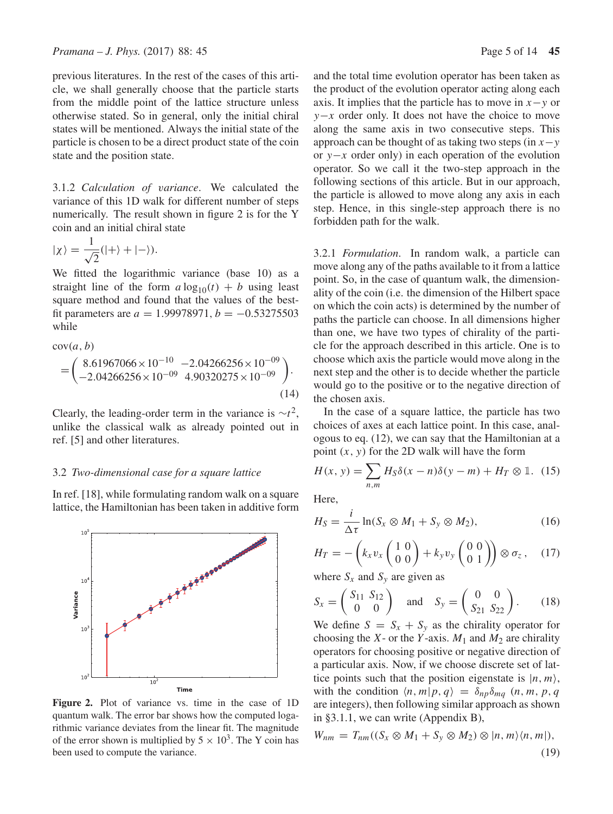previous literatures. In the rest of the cases of this article, we shall generally choose that the particle starts from the middle point of the lattice structure unless otherwise stated. So in general, only the initial chiral states will be mentioned. Always the initial state of the particle is chosen to be a direct product state of the coin state and the position state.

3.1.2 *Calculation of* v*ariance*. We calculated the variance of this 1D walk for different number of steps numerically. The result shown in figure 2 is for the Y coin and an initial chiral state

$$
|\chi\rangle = \frac{1}{\sqrt{2}}(|+\rangle + |-\rangle).
$$

We fitted the logarithmic variance (base 10) as a straight line of the form  $a \log_{10}(t) + b$  using least square method and found that the values of the bestfit parameters are  $a = 1.99978971$ ,  $b = -0.53275503$ while

$$
cov(a, b)
$$
  
=  $\begin{pmatrix} 8.61967066 \times 10^{-10} & -2.04266256 \times 10^{-09} \\ -2.04266256 \times 10^{-09} & 4.90320275 \times 10^{-09} \end{pmatrix}$ . (14)

Clearly, the leading-order term in the variance is  $\sim t^2$ , unlike the classical walk as already pointed out in ref. [5] and other literatures.

## 3.2 *Two-dimensional case for a square lattice*

In ref. [18], while formulating random walk on a square lattice, the Hamiltonian has been taken in additive form



**Figure 2.** Plot of variance vs. time in the case of 1D quantum walk. The error bar shows how the computed logarithmic variance deviates from the linear fit. The magnitude of the error shown is multiplied by  $5 \times 10^3$ . The Y coin has been used to compute the variance.

and the total time evolution operator has been taken as the product of the evolution operator acting along each axis. It implies that the particle has to move in  $x - y$  or  $y-x$  order only. It does not have the choice to move along the same axis in two consecutive steps. This approach can be thought of as taking two steps (in  $x - y$ ) or y−x order only) in each operation of the evolution operator. So we call it the two-step approach in the following sections of this article. But in our approach, the particle is allowed to move along any axis in each step. Hence, in this single-step approach there is no forbidden path for the walk.

3.2.1 *Formulation*. In random walk, a particle can move along any of the paths available to it from a lattice point. So, in the case of quantum walk, the dimensionality of the coin (i.e. the dimension of the Hilbert space on which the coin acts) is determined by the number of paths the particle can choose. In all dimensions higher than one, we have two types of chirality of the particle for the approach described in this article. One is to choose which axis the particle would move along in the next step and the other is to decide whether the particle would go to the positive or to the negative direction of the chosen axis.

In the case of a square lattice, the particle has two choices of axes at each lattice point. In this case, analogous to eq. (12), we can say that the Hamiltonian at a point  $(x, y)$  for the 2D walk will have the form

$$
H(x, y) = \sum_{n,m} H_S \delta(x - n) \delta(y - m) + H_T \otimes \mathbb{1}.
$$
 (15)

Here,

$$
H_S = \frac{i}{\Delta \tau} \ln(S_x \otimes M_1 + S_y \otimes M_2),\tag{16}
$$

$$
H_T = -\left(k_x v_x \begin{pmatrix} 1 & 0 \\ 0 & 0 \end{pmatrix} + k_y v_y \begin{pmatrix} 0 & 0 \\ 0 & 1 \end{pmatrix} \right) \otimes \sigma_z, \quad (17)
$$

where  $S_x$  and  $S_y$  are given as

$$
S_x = \begin{pmatrix} S_{11} & S_{12} \\ 0 & 0 \end{pmatrix}
$$
 and  $S_y = \begin{pmatrix} 0 & 0 \\ S_{21} & S_{22} \end{pmatrix}$ . (18)

We define  $S = S_x + S_y$  as the chirality operator for choosing the X- or the Y-axis.  $M_1$  and  $M_2$  are chirality operators for choosing positive or negative direction of a particular axis. Now, if we choose discrete set of lattice points such that the position eigenstate is  $|n, m\rangle$ , with the condition  $\langle n, m | p, q \rangle = \delta_{np} \delta_{mq}$   $(n, m, p, q)$ are integers), then following similar approach as shown in §3.1.1, we can write (Appendix B),

$$
W_{nm} = T_{nm}((S_x \otimes M_1 + S_y \otimes M_2) \otimes |n, m\rangle\langle n, m|),
$$
\n(19)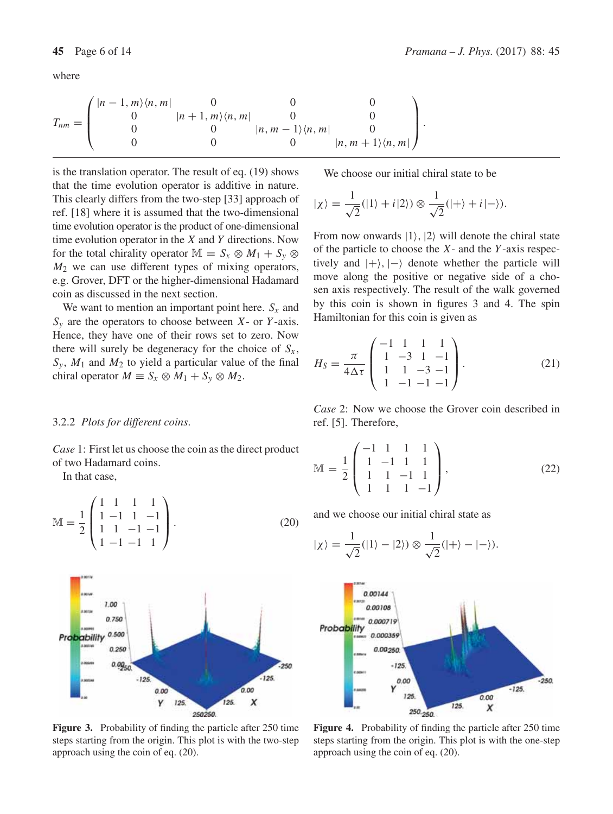$$
T_{nm} = \begin{pmatrix} |n-1,m\rangle\langle n,m| & 0 & 0 & 0 \\ 0 & |n+1,m\rangle\langle n,m| & 0 & 0 \\ 0 & 0 & |n,m-1\rangle\langle n,m| & 0 \\ 0 & 0 & 0 & |n,m+1\rangle\langle n,m| \end{pmatrix}.
$$

is the translation operator. The result of eq. (19) shows that the time evolution operator is additive in nature. This clearly differs from the two-step [33] approach of ref. [18] where it is assumed that the two-dimensional time evolution operator is the product of one-dimensional time evolution operator in the  $X$  and  $Y$  directions. Now for the total chirality operator  $\mathbb{M} = S_x \otimes M_1 + S_y \otimes$  $M<sub>2</sub>$  we can use different types of mixing operators, e.g. Grover, DFT or the higher-dimensional Hadamard coin as discussed in the next section.

We want to mention an important point here.  $S_x$  and  $S_y$  are the operators to choose between X- or Y-axis. Hence, they have one of their rows set to zero. Now there will surely be degeneracy for the choice of  $S<sub>x</sub>$ ,  $S_y$ ,  $M_1$  and  $M_2$  to yield a particular value of the final chiral operator  $M \equiv S_x \otimes M_1 + S_y \otimes M_2$ .

#### 3.2.2 *Plots for different coins*.

*Case* 1: First let us choose the coin as the direct product of two Hadamard coins.

In that case,

$$
\mathbb{M} = \frac{1}{2} \begin{pmatrix} 1 & 1 & 1 & 1 \\ 1 & -1 & 1 & -1 \\ 1 & 1 & -1 & -1 \\ 1 & -1 & -1 & 1 \end{pmatrix} . \tag{20}
$$



Figure 3. Probability of finding the particle after 250 time steps starting from the origin. This plot is with the two-step approach using the coin of eq. (20).

We choose our initial chiral state to be

$$
|\chi\rangle = \frac{1}{\sqrt{2}}(|1\rangle + i|2\rangle) \otimes \frac{1}{\sqrt{2}}(|+\rangle + i|-\rangle).
$$

From now onwards  $|1\rangle$ ,  $|2\rangle$  will denote the chiral state of the particle to choose the  $X$ - and the  $Y$ -axis respectively and  $|+\rangle$ ,  $|-\rangle$  denote whether the particle will move along the positive or negative side of a chosen axis respectively. The result of the walk governed by this coin is shown in figures 3 and 4. The spin Hamiltonian for this coin is given as

$$
H_S = \frac{\pi}{4\Delta\tau} \begin{pmatrix} -1 & 1 & 1 & 1 \\ 1 & -3 & 1 & -1 \\ 1 & 1 & -3 & -1 \\ 1 & -1 & -1 & -1 \end{pmatrix}.
$$
 (21)

*Case* 2: Now we choose the Grover coin described in ref. [5]. Therefore,

$$
\mathbb{M} = \frac{1}{2} \begin{pmatrix} -1 & 1 & 1 & 1 \\ 1 & -1 & 1 & 1 \\ 1 & 1 & -1 & 1 \\ 1 & 1 & 1 & -1 \end{pmatrix},
$$
(22)

and we choose our initial chiral state as

$$
|\chi\rangle = \frac{1}{\sqrt{2}}(|1\rangle - |2\rangle) \otimes \frac{1}{\sqrt{2}}(|+\rangle - |-\rangle).
$$



**Figure 4.** Probability of finding the particle after 250 time steps starting from the origin. This plot is with the one-step approach using the coin of eq. (20).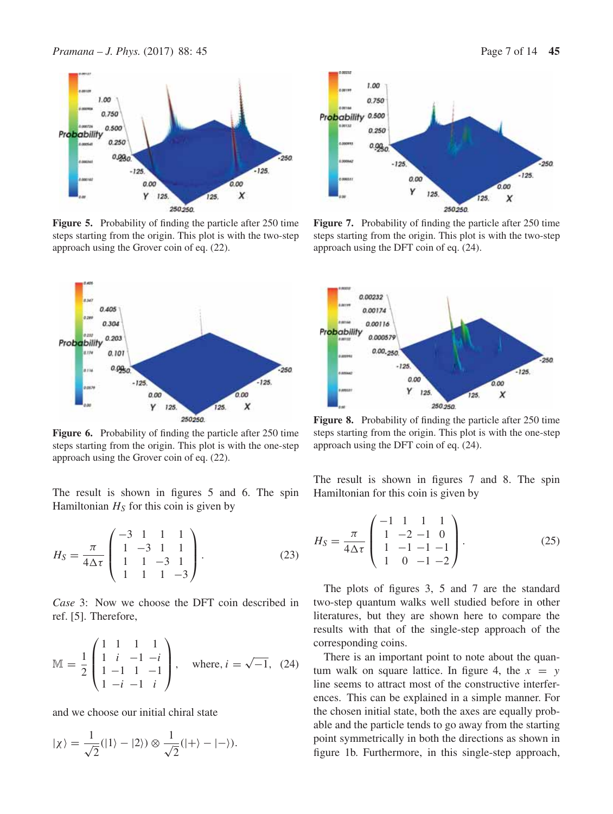

Figure 5. Probability of finding the particle after 250 time steps starting from the origin. This plot is with the two-step approach using the Grover coin of eq. (22).



**Figure 6.** Probability of finding the particle after 250 time steps starting from the origin. This plot is with the one-step approach using the Grover coin of eq. (22).

The result is shown in figures 5 and 6. The spin Hamiltonian  $H<sub>S</sub>$  for this coin is given by

$$
H_S = \frac{\pi}{4\Delta\tau} \begin{pmatrix} -3 & 1 & 1 & 1 \\ 1 & -3 & 1 & 1 \\ 1 & 1 & -3 & 1 \\ 1 & 1 & 1 & -3 \end{pmatrix}.
$$
 (23)

*Case* 3: Now we choose the DFT coin described in ref. [5]. Therefore,

$$
\mathbb{M} = \frac{1}{2} \begin{pmatrix} 1 & 1 & 1 & 1 \\ 1 & i & -1 & -i \\ 1 & -1 & 1 & -1 \\ 1 & -i & -1 & i \end{pmatrix}, \text{ where, } i = \sqrt{-1}, (24)
$$

and we choose our initial chiral state

$$
|\chi\rangle = \frac{1}{\sqrt{2}}(|1\rangle - |2\rangle) \otimes \frac{1}{\sqrt{2}}(|+\rangle - |-\rangle).
$$



Figure 7. Probability of finding the particle after 250 time steps starting from the origin. This plot is with the two-step approach using the DFT coin of eq. (24).



**Figure 8.** Probability of finding the particle after 250 time steps starting from the origin. This plot is with the one-step approach using the DFT coin of eq. (24).

The result is shown in figures 7 and 8. The spin Hamiltonian for this coin is given by

$$
H_S = \frac{\pi}{4\Delta\tau} \begin{pmatrix} -1 & 1 & 1 & 1 \\ 1 & -2 & -1 & 0 \\ 1 & -1 & -1 & -1 \\ 1 & 0 & -1 & -2 \end{pmatrix}.
$$
 (25)

The plots of figures 3, 5 and 7 are the standard two-step quantum walks well studied before in other literatures, but they are shown here to compare the results with that of the single-step approach of the corresponding coins.

There is an important point to note about the quantum walk on square lattice. In figure 4, the  $x = y$ line seems to attract most of the constructive interferences. This can be explained in a simple manner. For the chosen initial state, both the axes are equally probable and the particle tends to go away from the starting point symmetrically in both the directions as shown in figure 1b. Furthermore, in this single-step approach,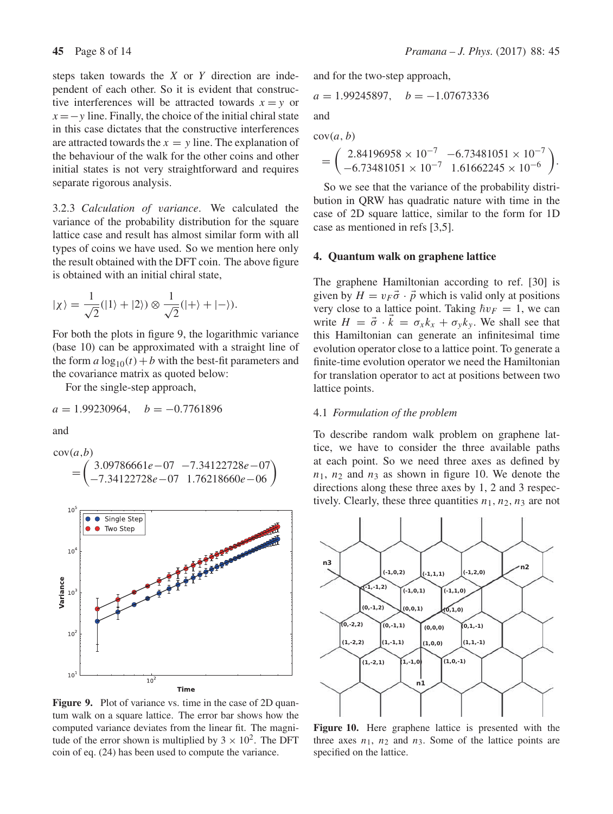steps taken towards the  $X$  or  $Y$  direction are independent of each other. So it is evident that constructive interferences will be attracted towards  $x = v$  or  $x = -y$  line. Finally, the choice of the initial chiral state in this case dictates that the constructive interferences are attracted towards the  $x = y$  line. The explanation of the behaviour of the walk for the other coins and other initial states is not very straightforward and requires separate rigorous analysis.

3.2.3 *Calculation of* v*ariance*. We calculated the variance of the probability distribution for the square lattice case and result has almost similar form with all types of coins we have used. So we mention here only the result obtained with the DFT coin. The above figure is obtained with an initial chiral state,

$$
|\chi\rangle = \frac{1}{\sqrt{2}}(|1\rangle + |2\rangle) \otimes \frac{1}{\sqrt{2}}(|+\rangle + |-\rangle).
$$

For both the plots in figure 9, the logarithmic variance (base 10) can be approximated with a straight line of the form  $a \log_{10}(t) + b$  with the best-fit parameters and the covariance matrix as quoted below:

For the single-step approach,

$$
a = 1.99230964, \quad b = -0.7761896
$$

and

$$
cov(a,b)
$$
  
=  $\begin{pmatrix} 3.09786661e - 07 & -7.34122728e - 07 \\ -7.34122728e - 07 & 1.76218660e - 06 \end{pmatrix}$ 



**Figure 9.** Plot of variance vs. time in the case of 2D quantum walk on a square lattice. The error bar shows how the computed variance deviates from the linear fit. The magnitude of the error shown is multiplied by  $3 \times 10^2$ . The DFT coin of eq. (24) has been used to compute the variance.

and for the two-step approach,

$$
a = 1.99245897, \quad b = -1.07673336
$$

and

 $cov(a, b)$ 

$$
= \begin{pmatrix} 2.84196958 \times 10^{-7} & -6.73481051 \times 10^{-7} \\ -6.73481051 \times 10^{-7} & 1.61662245 \times 10^{-6} \end{pmatrix}.
$$

So we see that the variance of the probability distribution in QRW has quadratic nature with time in the case of 2D square lattice, similar to the form for 1D case as mentioned in refs [3,5].

#### **4. Quantum walk on graphene lattice**

The graphene Hamiltonian according to ref. [30] is given by  $H = v_F \vec{\sigma} \cdot \vec{p}$  which is valid only at positions very close to a lattice point. Taking  $\hbar v_F = 1$ , we can write  $H = \vec{\sigma} \cdot \vec{k} = \sigma_x k_x + \sigma_y k_y$ . We shall see that this Hamiltonian can generate an infinitesimal time evolution operator close to a lattice point. To generate a finite-time evolution operator we need the Hamiltonian for translation operator to act at positions between two lattice points.

#### 4.1 *Formulation of the problem*

To describe random walk problem on graphene lattice, we have to consider the three available paths at each point. So we need three axes as defined by  $n_1$ ,  $n_2$  and  $n_3$  as shown in figure 10. We denote the directions along these three axes by 1, 2 and 3 respectively. Clearly, these three quantities  $n_1$ ,  $n_2$ ,  $n_3$  are not



**Figure 10.** Here graphene lattice is presented with the three axes  $n_1$ ,  $n_2$  and  $n_3$ . Some of the lattice points are specified on the lattice.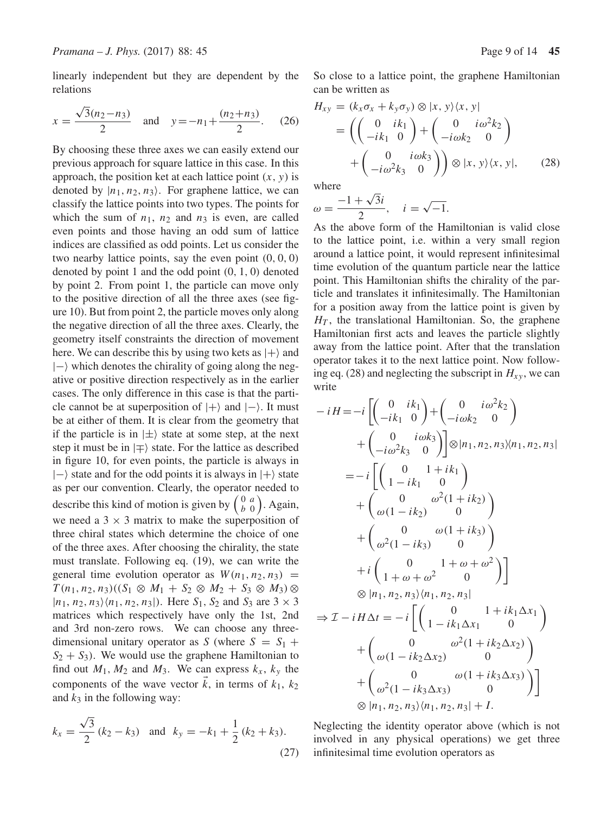linearly independent but they are dependent by the relations

$$
x = \frac{\sqrt{3}(n_2 - n_3)}{2} \quad \text{and} \quad y = -n_1 + \frac{(n_2 + n_3)}{2}.
$$
 (26)

By choosing these three axes we can easily extend our previous approach for square lattice in this case. In this approach, the position ket at each lattice point  $(x, y)$  is denoted by  $|n_1, n_2, n_3\rangle$ . For graphene lattice, we can classify the lattice points into two types. The points for which the sum of  $n_1$ ,  $n_2$  and  $n_3$  is even, are called even points and those having an odd sum of lattice indices are classified as odd points. Let us consider the two nearby lattice points, say the even point  $(0, 0, 0)$ denoted by point 1 and the odd point  $(0, 1, 0)$  denoted by point 2. From point 1, the particle can move only to the positive direction of all the three axes (see figure 10). But from point 2, the particle moves only along the negative direction of all the three axes. Clearly, the geometry itself constraints the direction of movement here. We can describe this by using two kets as  $|+\rangle$  and  $|-\rangle$  which denotes the chirality of going along the negative or positive direction respectively as in the earlier cases. The only difference in this case is that the particle cannot be at superposition of  $|+\rangle$  and  $|-\rangle$ . It must be at either of them. It is clear from the geometry that if the particle is in  $|\pm\rangle$  state at some step, at the next step it must be in  $|\mp\rangle$  state. For the lattice as described in figure 10, for even points, the particle is always in  $|-\rangle$  state and for the odd points it is always in  $|+\rangle$  state as per our convention. Clearly, the operator needed to describe this kind of motion is given by  $\begin{pmatrix} 0 & a \\ b & 0 \end{pmatrix}$ . Again, we need a  $3 \times 3$  matrix to make the superposition of three chiral states which determine the choice of one of the three axes. After choosing the chirality, the state must translate. Following eq. (19), we can write the general time evolution operator as  $W(n_1, n_2, n_3)$  =  $T(n_1, n_2, n_3)((S_1 \otimes M_1 + S_2 \otimes M_2 + S_3 \otimes M_3) \otimes$  $|n_1, n_2, n_3\rangle\langle n_1, n_2, n_3|$ . Here  $S_1, S_2$  and  $S_3$  are  $3 \times 3$ matrices which respectively have only the 1st, 2nd and 3rd non-zero rows. We can choose any threedimensional unitary operator as S (where  $S = S_1 +$  $S_2 + S_3$ ). We would use the graphene Hamiltonian to find out  $M_1$ ,  $M_2$  and  $M_3$ . We can express  $k_x$ ,  $k_y$  the components of the wave vector  $k$ , in terms of  $k_1$ ,  $k_2$ and  $k_3$  in the following way:

$$
k_x = \frac{\sqrt{3}}{2} (k_2 - k_3) \text{ and } k_y = -k_1 + \frac{1}{2} (k_2 + k_3).
$$
 (27)

So close to a lattice point, the graphene Hamiltonian can be written as

$$
H_{xy} = (k_x \sigma_x + k_y \sigma_y) \otimes |x, y\rangle \langle x, y|
$$
  
=  $\left( \begin{pmatrix} 0 & ik_1 \\ -ik_1 & 0 \end{pmatrix} + \begin{pmatrix} 0 & i\omega^2 k_2 \\ -i\omega k_2 & 0 \end{pmatrix} + \begin{pmatrix} 0 & i\omega k_3 \\ -i\omega^2 k_3 & 0 \end{pmatrix} \right) \otimes |x, y\rangle \langle x, y|,$  (28)

where

$$
\omega = \frac{-1 + \sqrt{3}i}{2}, \quad i = \sqrt{-1}.
$$

As the above form of the Hamiltonian is valid close to the lattice point, i.e. within a very small region around a lattice point, it would represent infinitesimal time evolution of the quantum particle near the lattice point. This Hamiltonian shifts the chirality of the particle and translates it infinitesimally. The Hamiltonian for a position away from the lattice point is given by  $H<sub>T</sub>$ , the translational Hamiltonian. So, the graphene Hamiltonian first acts and leaves the particle slightly away from the lattice point. After that the translation operator takes it to the next lattice point. Now following eq. (28) and neglecting the subscript in  $H_{xy}$ , we can write

$$
-iH = -i \left[ \begin{pmatrix} 0 & ik_1 \\ -ik_1 & 0 \end{pmatrix} + \begin{pmatrix} 0 & i\omega^2 k_2 \\ -i\omega k_3 & 0 \end{pmatrix} \right]
$$
  
+ 
$$
\begin{pmatrix} 0 & i\omega k_3 \\ -i\omega^2 k_3 & 0 \end{pmatrix} \otimes |n_1, n_2, n_3\rangle\langle n_1, n_2, n_3|
$$
  
= 
$$
-i \left[ \begin{pmatrix} 0 & 1+ik_1 \\ 1-ik_1 & 0 \end{pmatrix} + \begin{pmatrix} 0 & \omega^2(1+ik_2) \\ \omega(1-ik_2) & 0 \end{pmatrix} + \begin{pmatrix} 0 & \omega(1+ik_3) \\ \omega^2(1-ik_3) & 0 \end{pmatrix} + i \begin{pmatrix} 0 & 1+\omega+\omega^2 \\ 1+\omega+\omega^2 & 0 \end{pmatrix} \right]
$$
  

$$
\otimes |n_1, n_2, n_3\rangle\langle n_1, n_2, n_3|
$$
  

$$
\Rightarrow \mathcal{I} - iH \Delta t = -i \left[ \begin{pmatrix} 0 & 1+ik_1 \Delta x_1 \\ 1-ik_1 \Delta x_1 & 0 \end{pmatrix} + \begin{pmatrix} 0 & \omega^2(1+ik_2 \Delta x_2) \\ \omega(1-ik_2 \Delta x_2) & 0 \end{pmatrix} + \begin{pmatrix} 0 & \omega(1+ik_3 \Delta x_3) \\ \omega^2(1-ik_3 \Delta x_3) & 0 \end{pmatrix} \right]
$$
  

$$
\otimes |n_1, n_2, n_3\rangle\langle n_1, n_2, n_3| + I.
$$

Neglecting the identity operator above (which is not involved in any physical operations) we get three infinitesimal time evolution operators as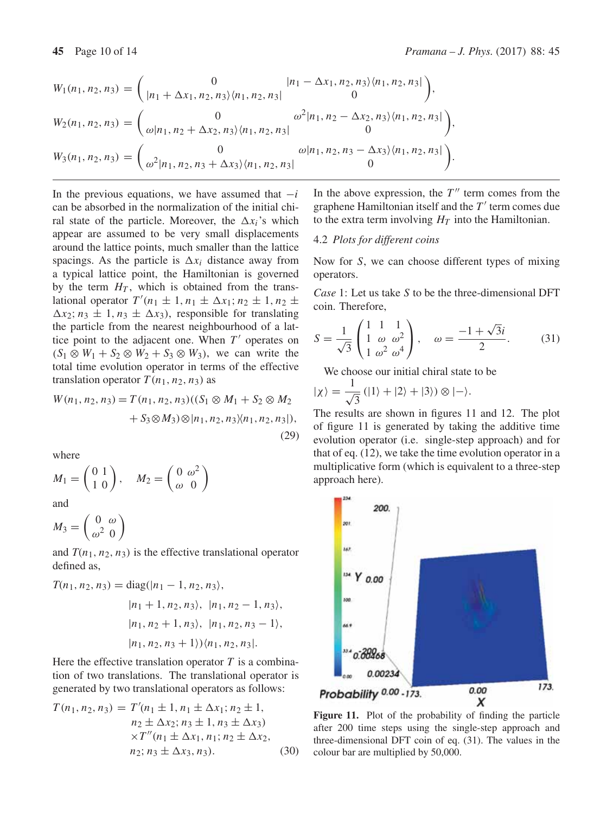$$
W_1(n_1, n_2, n_3) = \begin{pmatrix} 0 & |n_1 - \Delta x_1, n_2, n_3 \rangle \langle n_1, n_2, n_3 | \\ |n_1 + \Delta x_1, n_2, n_3 \rangle \langle n_1, n_2, n_3 | & 0 \end{pmatrix},
$$
  
\n
$$
W_2(n_1, n_2, n_3) = \begin{pmatrix} 0 & \omega^2 |n_1, n_2 - \Delta x_2, n_3 \rangle \langle n_1, n_2, n_3 | \\ \omega |n_1, n_2 + \Delta x_2, n_3 \rangle \langle n_1, n_2, n_3 | & 0 \end{pmatrix},
$$
  
\n
$$
W_3(n_1, n_2, n_3) = \begin{pmatrix} 0 & \omega |n_1, n_2, n_3 - \Delta x_3 \rangle \langle n_1, n_2, n_3 | \\ \omega^2 |n_1, n_2, n_3 + \Delta x_3 \rangle \langle n_1, n_2, n_3 | & 0 \end{pmatrix}.
$$

In the previous equations, we have assumed that  $-i$ can be absorbed in the normalization of the initial chiral state of the particle. Moreover, the  $\Delta x_i$ 's which appear are assumed to be very small displacements around the lattice points, much smaller than the lattice spacings. As the particle is  $\Delta x_i$  distance away from a typical lattice point, the Hamiltonian is governed by the term  $H<sub>T</sub>$ , which is obtained from the translational operator  $T'(n_1 \pm 1, n_1 \pm \Delta x_1; n_2 \pm 1, n_2 \pm \Delta x_1)$  $\Delta x_2$ ;  $n_3 \pm 1$ ,  $n_3 \pm \Delta x_3$ ), responsible for translating the particle from the nearest neighbourhood of a lattice point to the adjacent one. When  $T'$  operates on  $(S_1 \otimes W_1 + S_2 \otimes W_2 + S_3 \otimes W_3)$ , we can write the total time evolution operator in terms of the effective translation operator  $T(n_1, n_2, n_3)$  as

$$
W(n_1, n_2, n_3) = T(n_1, n_2, n_3)((S_1 \otimes M_1 + S_2 \otimes M_2 + S_3 \otimes M_3) \otimes |n_1, n_2, n_3 \rangle \langle n_1, n_2, n_3 |),
$$
\n(29)

where

$$
M_1 = \begin{pmatrix} 0 & 1 \\ 1 & 0 \end{pmatrix}, \quad M_2 = \begin{pmatrix} 0 & \omega^2 \\ \omega & 0 \end{pmatrix}
$$

and

$$
M_3 = \left(\begin{array}{cc} 0 & \omega \\ \omega^2 & 0 \end{array}\right)
$$

and  $T(n_1, n_2, n_3)$  is the effective translational operator defined as,

$$
T(n_1, n_2, n_3) = \text{diag}(|n_1 - 1, n_2, n_3\rangle, |n_1 + 1, n_2, n_3\rangle, |n_1, n_2 - 1, n_3\rangle, |n_1, n_2 + 1, n_3\rangle, |n_1, n_2, n_3 - 1\rangle, |n_1, n_2, n_3 + 1\rangle \rangle \langle n_1, n_2, n_3|.
$$

Here the effective translation operator  $T$  is a combination of two translations. The translational operator is generated by two translational operators as follows:

$$
T(n_1, n_2, n_3) = T'(n_1 \pm 1, n_1 \pm \Delta x_1; n_2 \pm 1, n_2 \pm \Delta x_2; n_3 \pm 1, n_3 \pm \Delta x_3) \times T''(n_1 \pm \Delta x_1, n_1; n_2 \pm \Delta x_2, n_2; n_3 \pm \Delta x_3, n_3).
$$
 (30)

In the above expression, the  $T''$  term comes from the graphene Hamiltonian itself and the  $T'$  term comes due to the extra term involving  $H_T$  into the Hamiltonian.

### 4.2 *Plots for different coins*

Now for S, we can choose different types of mixing operators.

*Case* 1: Let us take S to be the three-dimensional DFT coin. Therefore,

$$
S = \frac{1}{\sqrt{3}} \begin{pmatrix} 1 & 1 & 1 \\ 1 & \omega & \omega^2 \\ 1 & \omega^2 & \omega^4 \end{pmatrix}, \quad \omega = \frac{-1 + \sqrt{3}i}{2}.
$$
 (31)

We choose our initial chiral state to be

$$
|\chi\rangle = \frac{1}{\sqrt{3}} (|1\rangle + |2\rangle + |3\rangle) \otimes |-\rangle.
$$

The results are shown in figures 11 and 12. The plot of figure 11 is generated by taking the additive time evolution operator (i.e. single-step approach) and for that of eq. (12), we take the time evolution operator in a multiplicative form (which is equivalent to a three-step approach here).



**Figure 11.** Plot of the probability of finding the particle after 200 time steps using the single-step approach and three-dimensional DFT coin of eq. (31). The values in the colour bar are multiplied by 50,000.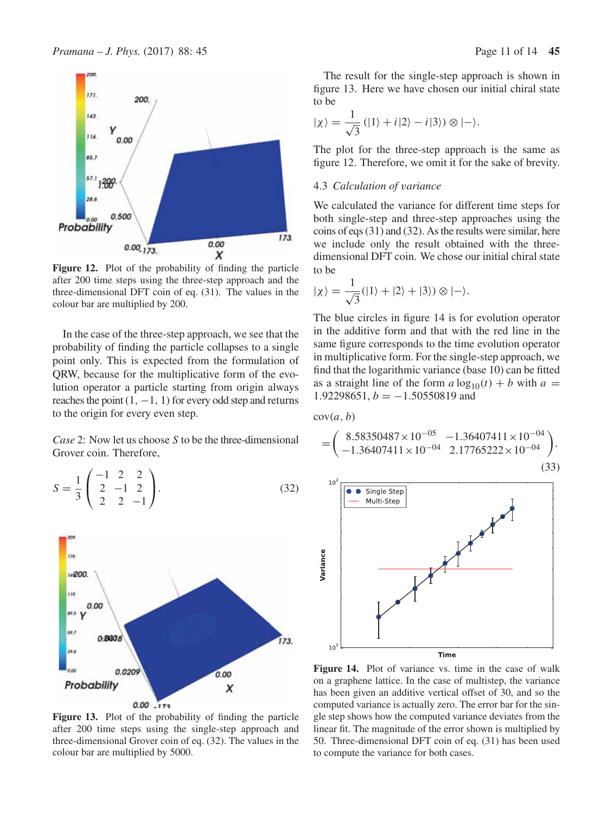

**Figure 12.** Plot of the probability of finding the particle after 200 time steps using the three-step approach and the three-dimensional DFT coin of eq. (31). The values in the colour bar are multiplied by 200.

In the case of the three-step approach, we see that the probability of finding the particle collapses to a single point only. This is expected from the formulation of QRW, because for the multiplicative form of the evolution operator a particle starting from origin always reaches the point  $(1, -1, 1)$  for every odd step and returns to the origin for every even step.

*Case* 2: Now let us choose S to be the three-dimensional Grover coin. Therefore,

$$
S = \frac{1}{3} \begin{pmatrix} -1 & 2 & 2 \\ 2 & -1 & 2 \\ 2 & 2 & -1 \end{pmatrix}.
$$
 (32)



**Figure 13.** Plot of the probability of finding the particle after 200 time steps using the single-step approach and three-dimensional Grover coin of eq. (32). The values in the colour bar are multiplied by 5000.

The result for the single-step approach is shown in figure 13. Here we have chosen our initial chiral state to be

$$
|\chi\rangle = \frac{1}{\sqrt{3}} (|1\rangle + i|2\rangle - i|3\rangle) \otimes |-\rangle.
$$

The plot for the three-step approach is the same as figure 12. Therefore, we omit it for the sake of brevity.

#### 4.3 *Calculation of* v*ariance*

We calculated the variance for different time steps for both single-step and three-step approaches using the coins of eqs (31) and (32). As the results were similar, here we include only the result obtained with the threedimensional DFT coin. We chose our initial chiral state to be

$$
|\chi\rangle = \frac{1}{\sqrt{3}}(|1\rangle + |2\rangle + |3\rangle) \otimes |-\rangle.
$$

The blue circles in figure 14 is for evolution operator in the additive form and that with the red line in the same figure corresponds to the time evolution operator in multiplicative form. For the single-step approach, we find that the logarithmic variance (base 10) can be fitted as a straight line of the form  $a \log_{10}(t) + b$  with  $a =$ 1.92298651,  $b = -1.50550819$  and

$$
cov(a, b)
$$

$$
= \begin{pmatrix} 8.58350487 \times 10^{-05} & -1.36407411 \times 10^{-04} \\ -1.36407411 \times 10^{-04} & 2.17765222 \times 10^{-04} \end{pmatrix} .
$$
\n(33)



**Figure 14.** Plot of variance vs. time in the case of walk on a graphene lattice. In the case of multistep, the variance has been given an additive vertical offset of 30, and so the computed variance is actually zero. The error bar for the single step shows how the computed variance deviates from the linear fit. The magnitude of the error shown is multiplied by 50. Three-dimensional DFT coin of eq. (31) has been used to compute the variance for both cases.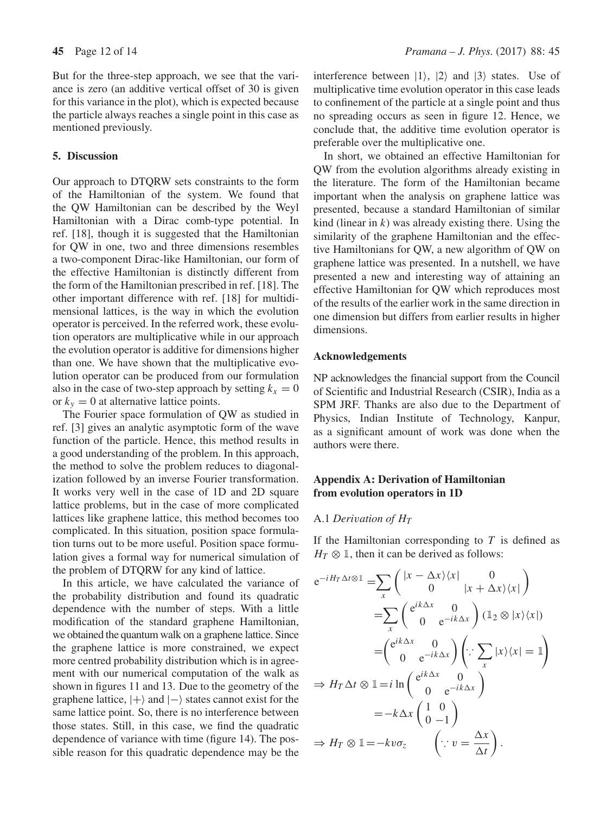But for the three-step approach, we see that the variance is zero (an additive vertical offset of 30 is given for this variance in the plot), which is expected because the particle always reaches a single point in this case as mentioned previously.

## **5. Discussion**

Our approach to DTQRW sets constraints to the form of the Hamiltonian of the system. We found that the QW Hamiltonian can be described by the Weyl Hamiltonian with a Dirac comb-type potential. In ref. [18], though it is suggested that the Hamiltonian for QW in one, two and three dimensions resembles a two-component Dirac-like Hamiltonian, our form of the effective Hamiltonian is distinctly different from the form of the Hamiltonian prescribed in ref. [18]. The other important difference with ref. [18] for multidimensional lattices, is the way in which the evolution operator is perceived. In the referred work, these evolution operators are multiplicative while in our approach the evolution operator is additive for dimensions higher than one. We have shown that the multiplicative evolution operator can be produced from our formulation also in the case of two-step approach by setting  $k_x = 0$ or  $k_y = 0$  at alternative lattice points.

The Fourier space formulation of QW as studied in ref. [3] gives an analytic asymptotic form of the wave function of the particle. Hence, this method results in a good understanding of the problem. In this approach, the method to solve the problem reduces to diagonalization followed by an inverse Fourier transformation. It works very well in the case of 1D and 2D square lattice problems, but in the case of more complicated lattices like graphene lattice, this method becomes too complicated. In this situation, position space formulation turns out to be more useful. Position space formulation gives a formal way for numerical simulation of the problem of DTQRW for any kind of lattice.

In this article, we have calculated the variance of the probability distribution and found its quadratic dependence with the number of steps. With a little modification of the standard graphene Hamiltonian, we obtained the quantum walk on a graphene lattice. Since the graphene lattice is more constrained, we expect more centred probability distribution which is in agreement with our numerical computation of the walk as shown in figures 11 and 13. Due to the geometry of the graphene lattice,  $|+\rangle$  and  $|-\rangle$  states cannot exist for the same lattice point. So, there is no interference between those states. Still, in this case, we find the quadratic dependence of variance with time (figure 14). The possible reason for this quadratic dependence may be the interference between  $|1\rangle$ ,  $|2\rangle$  and  $|3\rangle$  states. Use of multiplicative time evolution operator in this case leads to confinement of the particle at a single point and thus no spreading occurs as seen in figure 12. Hence, we conclude that, the additive time evolution operator is preferable over the multiplicative one.

In short, we obtained an effective Hamiltonian for QW from the evolution algorithms already existing in the literature. The form of the Hamiltonian became important when the analysis on graphene lattice was presented, because a standard Hamiltonian of similar kind (linear in  $k$ ) was already existing there. Using the similarity of the graphene Hamiltonian and the effective Hamiltonians for QW, a new algorithm of QW on graphene lattice was presented. In a nutshell, we have presented a new and interesting way of attaining an effective Hamiltonian for QW which reproduces most of the results of the earlier work in the same direction in one dimension but differs from earlier results in higher dimensions.

## **Acknowledgements**

NP acknowledges the financial support from the Council of Scientific and Industrial Research (CSIR), India as a SPM JRF. Thanks are also due to the Department of Physics, Indian Institute of Technology, Kanpur, as a significant amount of work was done when the authors were there.

## **Appendix A: Derivation of Hamiltonian from evolution operators in 1D**

# A.1 *Derivation of*  $H_T$

If the Hamiltonian corresponding to  $T$  is defined as  $H_T \otimes \mathbb{I}$ , then it can be derived as follows:

$$
e^{-iH_T\Delta t \otimes 1} = \sum_{x} \begin{pmatrix} |x - \Delta x\rangle\langle x| & 0 \\ 0 & |x + \Delta x\rangle\langle x| \end{pmatrix}
$$
  
\n
$$
= \sum_{x} \begin{pmatrix} e^{ik\Delta x} & 0 \\ 0 & e^{-ik\Delta x} \end{pmatrix} (1_2 \otimes |x\rangle\langle x|)
$$
  
\n
$$
= \begin{pmatrix} e^{ik\Delta x} & 0 \\ 0 & e^{-ik\Delta x} \end{pmatrix} \begin{pmatrix} \therefore \sum_{x} |x\rangle\langle x| = 1 \end{pmatrix}
$$
  
\n
$$
\Rightarrow H_T \Delta t \otimes 1 = i \ln \begin{pmatrix} e^{ik\Delta x} & 0 \\ 0 & e^{-ik\Delta x} \end{pmatrix}
$$
  
\n
$$
= -k\Delta x \begin{pmatrix} 1 & 0 \\ 0 & -1 \end{pmatrix}
$$
  
\n
$$
\Rightarrow H_T \otimes 1 = -kv\sigma_z \qquad (\because v = \frac{\Delta x}{\Delta t}).
$$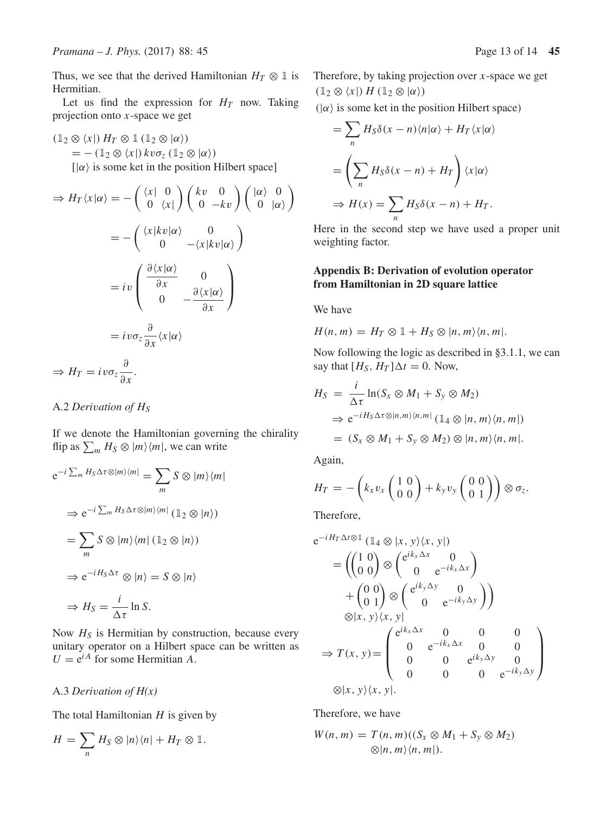Thus, we see that the derived Hamiltonian  $H_T \otimes \mathbb{1}$  is Hermitian.

Let us find the expression for  $H_T$  now. Taking projection onto  $x$ -space we get

 $(1_2 \otimes \langle x |) H_T \otimes 1 (1_2 \otimes | \alpha \rangle)$  $=$   $-$  (1<sub>2</sub>  $\otimes$   $\langle x|$ )  $kv\sigma_z$  (1<sub>2</sub>  $\otimes$   $|\alpha\rangle$ )  $\vert \alpha \rangle$  is some ket in the position Hilbert space]

$$
\Rightarrow H_T \langle x | \alpha \rangle = -\begin{pmatrix} \langle x | & 0 \\ 0 & \langle x | \end{pmatrix} \begin{pmatrix} kv & 0 \\ 0 & -kv \end{pmatrix} \begin{pmatrix} |\alpha\rangle & 0 \\ 0 & |\alpha\rangle \end{pmatrix}
$$

$$
= -\begin{pmatrix} \langle x | kv | \alpha \rangle & 0 \\ 0 & -\langle x | kv | \alpha \rangle \end{pmatrix}
$$

$$
= iv \begin{pmatrix} \frac{\partial \langle x | \alpha \rangle}{\partial x} & 0 \\ 0 & -\frac{\partial \langle x | \alpha \rangle}{\partial x} \end{pmatrix}
$$

$$
= iv \sigma_z \frac{\partial}{\partial x} \langle x | \alpha \rangle
$$

$$
\Rightarrow H_T = iv \sigma_z \frac{\partial}{\partial x}.
$$

## A.2 *Derivation of* H<sub>S</sub>

If we denote the Hamiltonian governing the chirality flip as  $\sum_m H_S \otimes |m\rangle\langle m|$ , we can write

$$
e^{-i\sum_{m}H_{S}\Delta\tau\otimes|m\rangle\langle m|} = \sum_{m} S\otimes|m\rangle\langle m|
$$
  
\n
$$
\Rightarrow e^{-i\sum_{m}H_{S}\Delta\tau\otimes|m\rangle\langle m|} (1_{2}\otimes|n\rangle)
$$
  
\n
$$
= \sum_{m} S\otimes|m\rangle\langle m| (1_{2}\otimes|n\rangle)
$$
  
\n
$$
\Rightarrow e^{-iH_{S}\Delta\tau}\otimes|n\rangle = S\otimes|n\rangle
$$
  
\n
$$
\Rightarrow H_{S} = \frac{i}{\Delta\tau}\ln S.
$$

Now  $H<sub>S</sub>$  is Hermitian by construction, because every unitary operator on a Hilbert space can be written as  $U = e^{iA}$  for some Hermitian A.

## A.3 *Deri*v*ation of H(x)*

The total Hamiltonian  $H$  is given by

$$
H = \sum_{n} H_{S} \otimes |n\rangle\langle n| + H_{T} \otimes \mathbb{1}.
$$

 $(|\alpha\rangle)$  is some ket in the position Hilbert space)

$$
= \sum_{n} H_{S} \delta(x - n) \langle n | \alpha \rangle + H_{T} \langle x | \alpha \rangle
$$

$$
= \left( \sum_{n} H_{S} \delta(x - n) + H_{T} \right) \langle x | \alpha \rangle
$$

$$
\Rightarrow H(x) = \sum_{n} H_{S} \delta(x - n) + H_{T}.
$$

Here in the second step we have used a proper unit weighting factor.

## **Appendix B: Derivation of evolution operator from Hamiltonian in 2D square lattice**

We have

 $H(n, m) = H_T \otimes \mathbb{1} + H_S \otimes |n, m\rangle\langle n, m|.$ 

Now following the logic as described in §3.1.1, we can say that  $[H<sub>S</sub>, H<sub>T</sub>] \Delta t = 0$ . Now,

$$
H_S = \frac{i}{\Delta \tau} \ln(S_x \otimes M_1 + S_y \otimes M_2)
$$
  
\n
$$
\Rightarrow e^{-iH_S \Delta \tau \otimes |n,m\rangle \langle n,m|} (\mathbb{1}_4 \otimes |n,m\rangle \langle n,m|)
$$
  
\n
$$
= (S_x \otimes M_1 + S_y \otimes M_2) \otimes |n,m\rangle \langle n,m|.
$$

Again,

$$
H_T = -\left(k_x v_x \begin{pmatrix} 1 & 0 \\ 0 & 0 \end{pmatrix} + k_y v_y \begin{pmatrix} 0 & 0 \\ 0 & 1 \end{pmatrix}\right) \otimes \sigma_z.
$$

Therefore,

$$
e^{-iH_T\Delta t \otimes 1} (\mathbb{1}_4 \otimes |x, y\rangle\langle x, y|)
$$
  
\n
$$
= \left(\begin{pmatrix} 1 & 0 \\ 0 & 0 \end{pmatrix} \otimes \begin{pmatrix} e^{ik_x\Delta x} & 0 \\ 0 & e^{-ik_x\Delta x} \end{pmatrix} + \begin{pmatrix} 0 & 0 \\ 0 & 1 \end{pmatrix} \otimes \begin{pmatrix} e^{ik_y\Delta y} & 0 \\ 0 & e^{-ik_y\Delta y} \end{pmatrix}\right)
$$
  
\n
$$
\otimes |x, y\rangle\langle x, y|
$$
  
\n
$$
\Rightarrow T(x, y) = \begin{pmatrix} e^{ik_x\Delta x} & 0 & 0 & 0 \\ 0 & e^{-ik_x\Delta x} & 0 & 0 \\ 0 & 0 & e^{ik_y\Delta y} & 0 \\ 0 & 0 & 0 & e^{-ik_y\Delta y} \end{pmatrix}
$$
  
\n
$$
\otimes |x, y\rangle\langle x, y|.
$$

Therefore, we have

$$
W(n, m) = T(n, m)((S_x \otimes M_1 + S_y \otimes M_2)
$$
  
 
$$
\otimes |n, m\rangle \langle n, m|).
$$